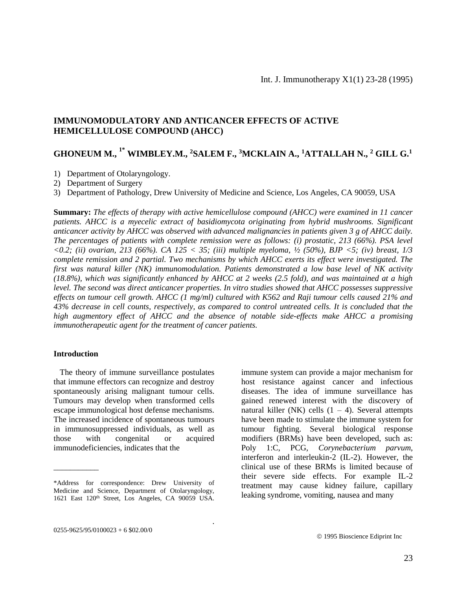# **IMMUNOMODULATORY AND ANTICANCER EFFECTS OF ACTIVE HEMICELLULOSE COMPOUND (AHCC)**

# **GHONEUM M., 1\* WIMBLEY.M., <sup>2</sup>SALEM F., <sup>3</sup>MCKLAIN A., <sup>1</sup>ATTALLAH N., <sup>2</sup> GILL G.<sup>1</sup>**

- 1) Department of Otolaryngology.
- 2) Department of Surgery
- 3) Department of Pathology, Drew University of Medicine and Science, Los Angeles, CA 90059, USA

**Summary:** *The effects of therapy with active hemicellulose compound (AHCC) were examined in 11 cancer patients. AHCC is a myecelic extract of basidiomycota originating from hybrid mushrooms. Significant anticancer activity by AHCC was observed with advanced malignancies in patients given 3 g of AHCC daily. The percentages of patients with complete remission were as follows: (i) prostatic, 213 (66%). PSA level <0.2; (ii) ovarian, 213 (66%). CA 125 < 35; (iii) multiple myeloma, ½ (50%), BJP <5; (iv) breast, 1/3 complete remission and 2 partial. Two mechanisms by which AHCC exerts its effect were investigated. The first was natural killer (NK) immunomodulation. Patients demonstrated a low base level of NK activity (18.8%), which was significantly enhanced by AHCC at 2 weeks (2.5 fold), and was maintained at a high level. The second was direct anticancer properties. In vitro studies showed that AHCC possesses suppressive effects on tumour cell growth. AHCC (1 mg/ml) cultured with K562 and Raji tumour cells caused 21% and 43% decrease in cell counts, respectively, as compared to control untreated cells. It is concluded that the high augmentory effect of AHCC and the absence of notable side-effects make AHCC a promising immunotherapeutic agent for the treatment of cancer patients.*

.

#### **Introduction**

\_\_\_\_\_\_\_\_\_\_\_

 The theory of immune surveillance postulates that immune effectors can recognize and destroy spontaneously arising malignant tumour cells. Tumours may develop when transformed cells escape immunological host defense mechanisms. The increased incidence of spontaneous tumours in immunosuppressed individuals, as well as those with congenital or acquired immunodeficiencies, indicates that the

immune system can provide a major mechanism for host resistance against cancer and infectious diseases. The idea of immune surveillance has gained renewed interest with the discovery of natural killer (NK) cells  $(1 – 4)$ . Several attempts have been made to stimulate the immune system for tumour fighting. Several biological response modifiers (BRMs) have been developed, such as: Poly 1:C, PCG, *Corynebacterium parvum*, interferon and interleukin-2 (IL-2). However, the clinical use of these BRMs is limited because of their severe side effects. For example IL-2 treatment may cause kidney failure, capillary leaking syndrome, vomiting, nausea and many

<sup>\*</sup>Address for correspondence: Drew University of Medicine and Science, Department of Otolaryngology, 1621 East 120<sup>th</sup> Street, Los Angeles, CA 90059 USA.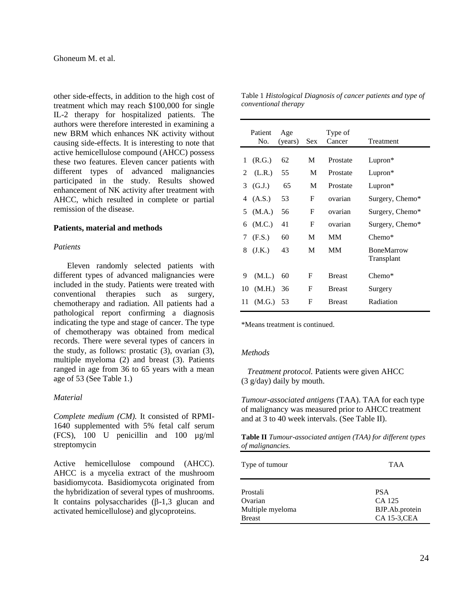other side-effects, in addition to the high cost of treatment which may reach \$100,000 for single IL-2 therapy for hospitalized patients. The authors were therefore interested in examining a new BRM which enhances NK activity without causing side-effects. It is interesting to note that active hemicellulose compound (AHCC) possess these two features. Eleven cancer patients with different types of advanced malignancies participated in the study. Results showed enhancement of NK activity after treatment with AHCC, which resulted in complete or partial remission of the disease.

#### **Patients, material and methods**

#### *Patients*

Eleven randomly selected patients with different types of advanced malignancies were included in the study. Patients were treated with conventional therapies such as surgery, chemotherapy and radiation. All patients had a pathological report confirming a diagnosis indicating the type and stage of cancer. The type of chemotherapy was obtained from medical records. There were several types of cancers in the study, as follows: prostatic (3), ovarian (3), multiple myeloma (2) and breast (3). Patients ranged in age from 36 to 65 years with a mean age of 53 (See Table 1.)

### *Material*

*Complete medium (CM).* It consisted of RPMI-1640 supplemented with 5% fetal calf serum (FCS), 100 U penicillin and 100 µg/ml streptomycin

Active hemicellulose compound (AHCC). AHCC is a mycelia extract of the mushroom basidiomycota. Basidiomycota originated from the hybridization of several types of mushrooms. It contains polysaccharides  $(\beta-1,3)$  glucan and activated hemicellulose) and glycoproteins.

|    | Patient<br>No. | Age<br>(years) | Sex | Type of<br>Cancer | Treatment                       |
|----|----------------|----------------|-----|-------------------|---------------------------------|
| 1  | (R.G.)         | 62             | M   | Prostate          | Lupron*                         |
| 2  | (L.R.)         | 55             | M   | Prostate          | Lupron*                         |
| 3  | (G.J.)         | 65             | M   | Prostate          | Lupron*                         |
| 4  | (A.S.)         | 53             | F   | ovarian           | Surgery, Chemo*                 |
| 5  | (M.A.)         | 56             | F   | ovarian           | Surgery, Chemo*                 |
| 6  | (M.C.)         | 41             | F   | ovarian           | Surgery, Chemo*                 |
| 7  | (F.S.)         | 60             | M   | <b>MM</b>         | $Chemo*$                        |
| 8  | (J.K.)         | 43             | M   | <b>MM</b>         | <b>BoneMarrow</b><br>Transplant |
| 9  | (M.L.)         | 60             | F   | <b>Breast</b>     | $Chemo*$                        |
| 10 | (M.H.)         | 36             | F   | <b>Breast</b>     | Surgery                         |
| 11 | (M.G.)         | 53             | F   | <b>Breast</b>     | Radiation                       |

Table 1 *Histological Diagnosis of cancer patients and type of conventional therapy*

\*Means treatment is continued.

#### *Methods*

 *Treatment protocol.* Patients were given AHCC (3 g/day) daily by mouth.

*Tumour-associated antigens* (TAA). TAA for each type of malignancy was measured prior to AHCC treatment and at 3 to 40 week intervals. (See Table II).

**Table II** *Tumour-associated antigen (TAA) for different types of malignancies.*

| Type of tumour   | <b>TAA</b>          |  |  |
|------------------|---------------------|--|--|
| Prostali         | <b>PSA</b>          |  |  |
| Ovarian          | CA 125              |  |  |
| Multiple myeloma | BJP.Ab.protein      |  |  |
| <b>Breast</b>    | <b>CA 15-3, CEA</b> |  |  |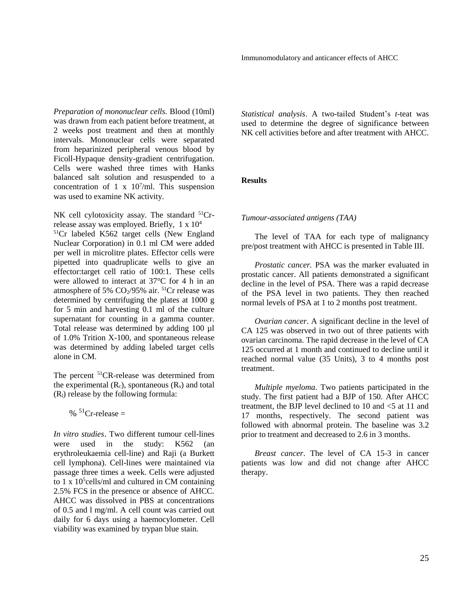*Preparation of mononuclear cells.* Blood (10ml) was drawn from each patient before treatment, at 2 weeks post treatment and then at monthly intervals. Mononuclear cells were separated from heparinized peripheral venous blood by Ficoll-Hypaque density-gradient centrifugation. Cells were washed three times with Hanks balanced salt solution and resuspended to a concentration of 1 x  $10^7$ /ml. This suspension was used to examine NK activity.

NK cell cylotoxicity assay. The standard  ${}^{51}Cr$ release assay was employed. Briefly, 1 x 10<sup>4</sup> <sup>51</sup>Cr labeled K562 target cells (New England Nuclear Corporation) in 0.1 ml CM were added per well in microlitre plates. Effector cells were pipetted into quadruplicate wells to give an effector:target cell ratio of 100:1. These cells were allowed to interact at 37°C for 4 h in an atmosphere of 5%  $CO<sub>2</sub>/95%$  air. <sup>51</sup>Cr release was determined by centrifuging the plates at 1000 g for 5 min and harvesting 0.1 ml of the culture supernatant for counting in a gamma counter. Total release was determined by adding 100 µl of 1.0% Trition X-100, and spontaneous release was determined by adding labeled target cells alone in CM.

The percent <sup>51</sup>CR-release was determined from the experimental  $(R_c)$ , spontaneous  $(R_s)$  and total  $(R<sub>1</sub>)$  release by the following formula:

 $\%$ <sup>51</sup>Cr-release =

*In vitro studies*. Two different tumour cell-lines were used in the study: K562 (an erythroleukaemia cell-line) and Raji (a Burkett cell lymphona). Cell-lines were maintained via passage three times a week. Cells were adjusted to 1 x  $10^5$ cells/ml and cultured in CM containing 2.5% FCS in the presence or absence of AHCC. AHCC was dissolved in PBS at concentrations of 0.5 and l mg/ml. A cell count was carried out daily for 6 days using a haemocylometer. Cell viability was examined by trypan blue stain.

*Statistical analysis*. A two-tailed Student's *t*-teat was used to determine the degree of significance between NK cell activities before and after treatment with AHCC.

## **Results**

#### *Tumour-associated antigens (TAA)*

The level of TAA for each type of malignancy pre/post treatment with AHCC is presented in Table III.

*Prostatic cancer.* PSA was the marker evaluated in prostatic cancer. All patients demonstrated a significant decline in the level of PSA. There was a rapid decrease of the PSA level in two patients. They then reached normal levels of PSA at 1 to 2 months post treatment.

*Ovarian cancer*. A significant decline in the level of CA 125 was observed in two out of three patients with ovarian carcinoma. The rapid decrease in the level of CA 125 occurred at 1 month and continued to decline until it reached normal value (35 Units), 3 to 4 months post treatment.

*Multiple myeloma*. Two patients participated in the study. The first patient had a BJP of 150. After AHCC treatment, the BJP level declined to 10 and <5 at 11 and 17 months, respectively. The second patient was followed with abnormal protein. The baseline was 3.2 prior to treatment and decreased to 2.6 in 3 months.

*Breast cancer*. The level of CA 15-3 in cancer patients was low and did not change after AHCC therapy.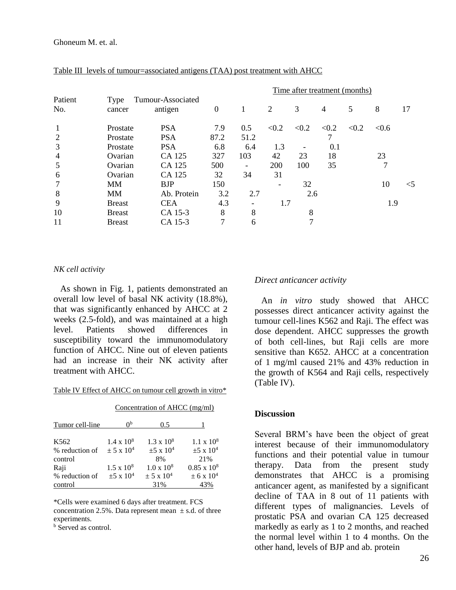|                |                |                              | Time after treatment (months) |                          |       |       |       |       |       |       |
|----------------|----------------|------------------------------|-------------------------------|--------------------------|-------|-------|-------|-------|-------|-------|
| Patient<br>No. | Type<br>cancer | Tumour-Associated<br>antigen | $\boldsymbol{0}$              | 1                        | 2     | 3     | 4     | 5     | 8     | 17    |
| 1              | Prostate       | <b>PSA</b>                   | 7.9                           | 0.5                      | < 0.2 | < 0.2 | < 0.2 | < 0.2 | < 0.6 |       |
| 2              | Prostate       | <b>PSA</b>                   | 87.2                          | 51.2                     |       |       |       |       |       |       |
| 3              | Prostate       | <b>PSA</b>                   | 6.8                           | 6.4                      | 1.3   |       | 0.1   |       |       |       |
| $\overline{4}$ | Ovarian        | CA 125                       | 327                           | 103                      | 42    | 23    | 18    |       | 23    |       |
| 5              | Ovarian        | CA 125                       | 500                           | -                        | 200   | 100   | 35    |       | 7     |       |
| 6              | Ovarian        | CA 125                       | 32                            | 34                       | 31    |       |       |       |       |       |
|                | <b>MM</b>      | <b>BJP</b>                   | 150                           |                          | -     | 32    |       |       | 10    | $<$ 5 |
| 8              | <b>MM</b>      | Ab. Protein                  | 3.2                           | 2.7                      |       | 2.6   |       |       |       |       |
| 9              | <b>Breast</b>  | <b>CEA</b>                   | 4.3                           | $\overline{\phantom{a}}$ | 1.7   |       |       |       | 1.9   |       |
| 10             | <b>Breast</b>  | CA 15-3                      | 8                             | 8                        |       | 8     |       |       |       |       |
| 11             | <b>Breast</b>  | CA 15-3                      | 7                             | 6                        |       |       |       |       |       |       |

## Table III levels of tumour=associated antigens (TAA) post treatment with AHCC

#### *NK cell activity*

 As shown in Fig. 1, patients demonstrated an overall low level of basal NK activity (18.8%), that was significantly enhanced by AHCC at 2 weeks (2.5-fold), and was maintained at a high level. Patients showed differences in susceptibility toward the immunomodulatory function of AHCC. Nine out of eleven patients had an increase in their NK activity after treatment with AHCC.

|  | Table IV Effect of AHCC on tumour cell growth in vitro* |  |  |
|--|---------------------------------------------------------|--|--|
|  |                                                         |  |  |

|                                    | Concentration of AHCC (mg/ml)                  |                                          |                                          |  |  |
|------------------------------------|------------------------------------------------|------------------------------------------|------------------------------------------|--|--|
| Tumor cell-line                    | $\theta$                                       | 0.5                                      |                                          |  |  |
| K <sub>562</sub><br>% reduction of | $1.4 \times 10^8$<br>$\pm$ 5 x 10 <sup>4</sup> | $1.3 \times 10^8$<br>$\pm 5 \times 10^4$ | $1.1 \times 10^8$<br>$\pm 5 \times 10^4$ |  |  |
| control                            |                                                | 8%                                       | 21%                                      |  |  |
| Raji                               | $1.5 \times 10^8$                              | $1.0 \times 10^8$                        | $0.85 \times 10^8$                       |  |  |
| % reduction of                     | $\pm 5 \times 10^4$                            | $\pm$ 5 x 10 <sup>4</sup>                | $\pm$ 6 x 10 <sup>4</sup>                |  |  |
| control                            |                                                | 31%                                      | 43%                                      |  |  |

\*Cells were examined 6 days after treatment. FCS concentration 2.5%. Data represent mean  $\pm$  s.d. of three experiments.

**b** Served as control.

### *Direct anticancer activity*

An *in vitro* study showed that AHCC possesses direct anticancer activity against the tumour cell-lines K562 and Raji. The effect was dose dependent. AHCC suppresses the growth of both cell-lines, but Raji cells are more sensitive than K652. AHCC at a concentration of 1 mg/ml caused 21% and 43% reduction in the growth of K564 and Raji cells, respectively (Table IV).

## **Discussion**

Several BRM's have been the object of great interest because of their immunomodulatory functions and their potential value in tumour therapy. Data from the present study demonstrates that AHCC is a promising anticancer agent, as manifested by a significant decline of TAA in 8 out of 11 patients with different types of malignancies. Levels of prostatic PSA and ovarian CA 125 decreased markedly as early as 1 to 2 months, and reached the normal level within 1 to 4 months. On the other hand, levels of BJP and ab. protein